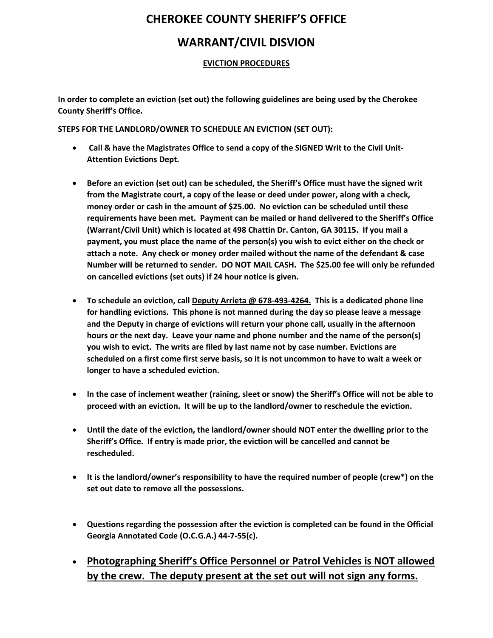## **CHEROKEE COUNTY SHERIFF'S OFFICE**

## **WARRANT/CIVIL DISVION**

### **EVICTION PROCEDURES**

**In order to complete an eviction (set out) the following guidelines are being used by the Cherokee County Sheriff's Office.**

**STEPS FOR THE LANDLORD/OWNER TO SCHEDULE AN EVICTION (SET OUT):**

- **Call & have the Magistrates Office to send a copy of the SIGNED Writ to the Civil Unit-Attention Evictions Dept.**
- **Before an eviction (set out) can be scheduled, the Sheriff's Office must have the signed writ from the Magistrate court, a copy of the lease or deed under power, along with a check, money order or cash in the amount of \$25.00. No eviction can be scheduled until these requirements have been met. Payment can be mailed or hand delivered to the Sheriff's Office (Warrant/Civil Unit) which is located at 498 Chattin Dr. Canton, GA 30115. If you mail a payment, you must place the name of the person(s) you wish to evict either on the check or attach a note. Any check or money order mailed without the name of the defendant & case Number will be returned to sender. DO NOT MAIL CASH. The \$25.00 fee will only be refunded on cancelled evictions (set outs) if 24 hour notice is given.**
- **To schedule an eviction, call Deputy Arrieta @ 678-493-4264. This is a dedicated phone line for handling evictions. This phone is not manned during the day so please leave a message and the Deputy in charge of evictions will return your phone call, usually in the afternoon hours or the next day. Leave your name and phone number and the name of the person(s) you wish to evict. The writs are filed by last name not by case number. Evictions are scheduled on a first come first serve basis, so it is not uncommon to have to wait a week or longer to have a scheduled eviction.**
- **In the case of inclement weather (raining, sleet or snow) the Sheriff's Office will not be able to proceed with an eviction. It will be up to the landlord/owner to reschedule the eviction.**
- **Until the date of the eviction, the landlord/owner should NOT enter the dwelling prior to the Sheriff's Office. If entry is made prior, the eviction will be cancelled and cannot be rescheduled.**
- **It is the landlord/owner's responsibility to have the required number of people (crew\*) on the set out date to remove all the possessions.**
- **Questions regarding the possession after the eviction is completed can be found in the Official Georgia Annotated Code (O.C.G.A.) 44-7-55(c).**
- **Photographing Sheriff's Office Personnel or Patrol Vehicles is NOT allowed by the crew. The deputy present at the set out will not sign any forms.**